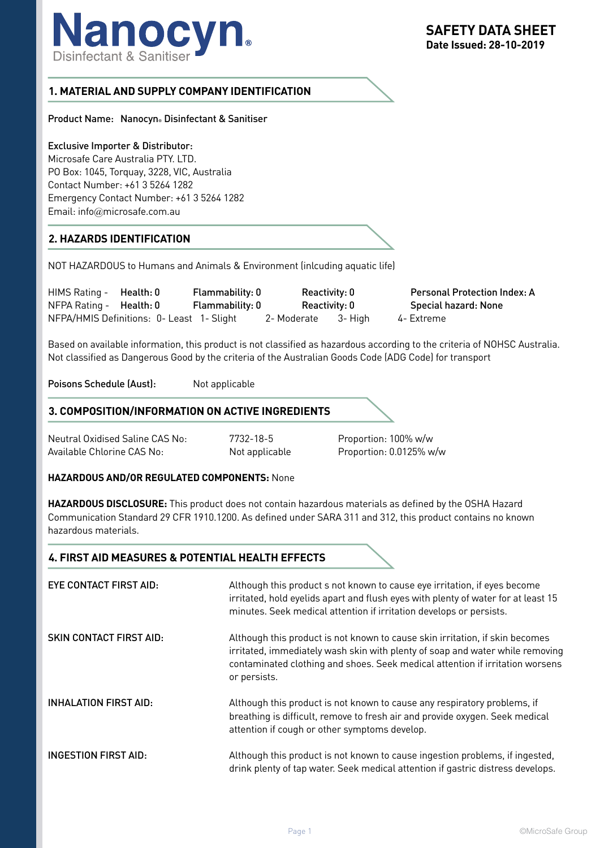

# **1. MATERIAL AND SUPPLY COMPANY IDENTIFICATION**

Product Name: Nanocyn® Disinfectant & Sanitiser

#### Exclusive Importer & Distributor:

Microsafe Care Australia PTY. LTD. PO Box: 1045, Torquay, 3228, VIC, Australia Contact Number: +61 3 5264 1282 Emergency Contact Number: +61 3 5264 1282 Email: info@microsafe.com.au

## **2. HAZARDS IDENTIFICATION**

NOT HAZARDOUS to Humans and Animals & Environment (inlcuding aquatic life)

| HIMS Rating -                  | Health: 0                                 | Flammability: 0 | Reactivity: 0       | <b>Personal Protection Index: A</b> |
|--------------------------------|-------------------------------------------|-----------------|---------------------|-------------------------------------|
| NFPA Rating - <b>Health: 0</b> |                                           | Flammability: 0 | Reactivity: 0       | Special hazard: None                |
|                                | NFPA/HMIS Definitions: 0- Least 1- Slight |                 | 2- Moderate 3- High | 4- Extreme                          |

Based on available information, this product is not classified as hazardous according to the criteria of NOHSC Australia. Not classified as Dangerous Good by the criteria of the Australian Goods Code (ADG Code) for transport

Poisons Schedule (Aust): Not applicable

## **3. COMPOSITION/INFORMATION ON ACTIVE INGREDIENTS**

Neutral Oxidised Saline CAS No: 7732-18-5 Proportion: 100% w/w Available Chlorine CAS No: Not applicable Proportion: 0.0125% w/w

#### **HAZARDOUS AND/OR REGULATED COMPONENTS:** None

**HAZARDOUS DISCLOSURE:** This product does not contain hazardous materials as defined by the OSHA Hazard Communication Standard 29 CFR 1910.1200. As defined under SARA 311 and 312, this product contains no known hazardous materials.

## **4. FIRST AID MEASURES & POTENTIAL HEALTH EFFECTS**

| EYE CONTACT FIRST AID:         | Although this product s not known to cause eye irritation, if eyes become<br>irritated, hold eyelids apart and flush eyes with plenty of water for at least 15<br>minutes. Seek medical attention if irritation develops or persists.                          |
|--------------------------------|----------------------------------------------------------------------------------------------------------------------------------------------------------------------------------------------------------------------------------------------------------------|
| <b>SKIN CONTACT FIRST AID:</b> | Although this product is not known to cause skin irritation, if skin becomes<br>irritated, immediately wash skin with plenty of soap and water while removing<br>contaminated clothing and shoes. Seek medical attention if irritation worsens<br>or persists. |
| <b>INHALATION FIRST AID:</b>   | Although this product is not known to cause any respiratory problems, if<br>breathing is difficult, remove to fresh air and provide oxygen. Seek medical<br>attention if cough or other symptoms develop.                                                      |
| <b>INGESTION FIRST AID:</b>    | Although this product is not known to cause ingestion problems, if ingested,<br>drink plenty of tap water. Seek medical attention if gastric distress develops.                                                                                                |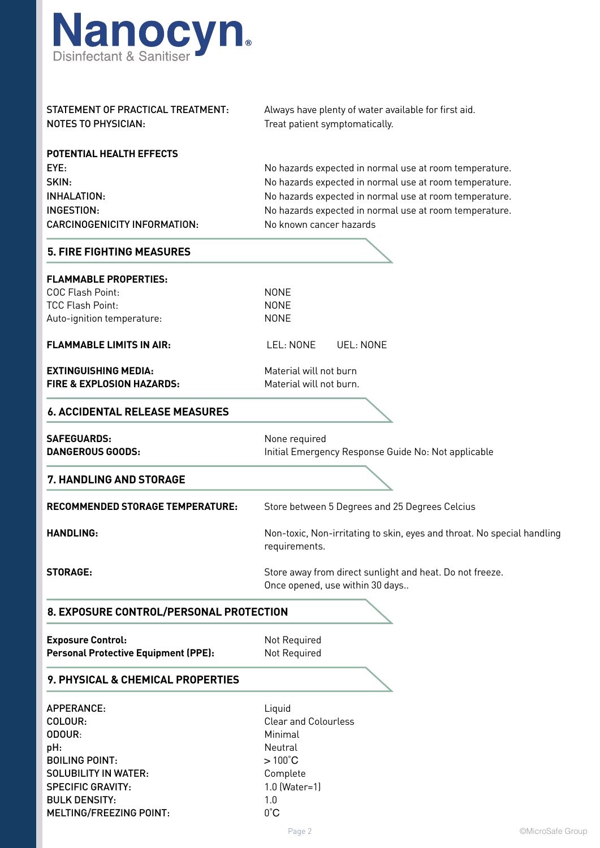

| STATEMENT OF PRACTICAL TREATMENT:           | Always have plenty of water available for first aid.                                        |  |  |  |
|---------------------------------------------|---------------------------------------------------------------------------------------------|--|--|--|
| <b>NOTES TO PHYSICIAN:</b>                  | Treat patient symptomatically.                                                              |  |  |  |
| POTENTIAL HEALTH EFFECTS                    |                                                                                             |  |  |  |
| EYE:                                        | No hazards expected in normal use at room temperature.                                      |  |  |  |
| SKIN:                                       | No hazards expected in normal use at room temperature.                                      |  |  |  |
| <b>INHALATION:</b>                          | No hazards expected in normal use at room temperature.                                      |  |  |  |
| <b>INGESTION:</b>                           | No hazards expected in normal use at room temperature.                                      |  |  |  |
| <b>CARCINOGENICITY INFORMATION:</b>         | No known cancer hazards                                                                     |  |  |  |
| <b>5. FIRE FIGHTING MEASURES</b>            |                                                                                             |  |  |  |
| <b>FLAMMABLE PROPERTIES:</b>                |                                                                                             |  |  |  |
| COC Flash Point:                            | <b>NONE</b>                                                                                 |  |  |  |
| <b>TCC Flash Point:</b>                     | <b>NONE</b>                                                                                 |  |  |  |
| Auto-ignition temperature:                  | <b>NONE</b>                                                                                 |  |  |  |
| <b>FLAMMABLE LIMITS IN AIR:</b>             | LEL: NONE<br><b>UEL: NONE</b>                                                               |  |  |  |
| <b>EXTINGUISHING MEDIA:</b>                 | Material will not burn                                                                      |  |  |  |
| <b>FIRE &amp; EXPLOSION HAZARDS:</b>        | Material will not burn.                                                                     |  |  |  |
| <b>6. ACCIDENTAL RELEASE MEASURES</b>       |                                                                                             |  |  |  |
| <b>SAFEGUARDS:</b>                          | None required                                                                               |  |  |  |
| <b>DANGEROUS GOODS:</b>                     | Initial Emergency Response Guide No: Not applicable                                         |  |  |  |
| 7. HANDLING AND STORAGE                     |                                                                                             |  |  |  |
| <b>RECOMMENDED STORAGE TEMPERATURE:</b>     | Store between 5 Degrees and 25 Degrees Celcius                                              |  |  |  |
| HANDLING:                                   | Non-toxic, Non-irritating to skin, eyes and throat. No special handling<br>requirements.    |  |  |  |
| <b>STORAGE:</b>                             | Store away from direct sunlight and heat. Do not freeze.<br>Once opened, use within 30 days |  |  |  |
| 8. EXPOSURE CONTROL/PERSONAL PROTECTION     |                                                                                             |  |  |  |
| <b>Exposure Control:</b>                    | Not Required                                                                                |  |  |  |
| <b>Personal Protective Equipment (PPE):</b> | Not Required                                                                                |  |  |  |
| 9. PHYSICAL & CHEMICAL PROPERTIES           |                                                                                             |  |  |  |
| APPERANCE:                                  | Liquid                                                                                      |  |  |  |
| COLOUR:                                     | <b>Clear and Colourless</b>                                                                 |  |  |  |
| ODOUR:                                      | Minimal                                                                                     |  |  |  |
| pH:                                         | Neutral                                                                                     |  |  |  |
| <b>BOILING POINT:</b>                       | $>100^{\circ}$ C                                                                            |  |  |  |
| <b>SOLUBILITY IN WATER:</b>                 | Complete                                                                                    |  |  |  |
| <b>SPECIFIC GRAVITY:</b>                    | 1.0 (Water=1)                                                                               |  |  |  |
| <b>BULK DENSITY:</b>                        | 1.0                                                                                         |  |  |  |

MELTING/FREEZING POINT: 0°C